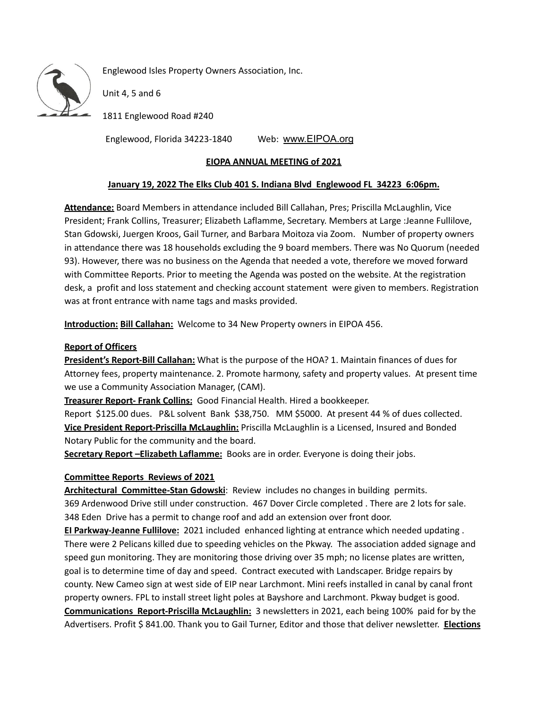

Englewood Isles Property Owners Association, Inc.

Unit 4, 5 and 6

1811 Englewood Road #240

Englewood, Florida 34223-1840 Web: [www.EIPOA.org](http://www.eipoa.org/)

# **EIOPA ANNUAL MEETING of 2021**

## **January 19, 2022 The Elks Club 401 S. Indiana Blvd Englewood FL 34223 6:06pm.**

**Attendance:** Board Members in attendance included Bill Callahan, Pres; Priscilla McLaughlin, Vice President; Frank Collins, Treasurer; Elizabeth Laflamme, Secretary. Members at Large :Jeanne Fullilove, Stan Gdowski, Juergen Kroos, Gail Turner, and Barbara Moitoza via Zoom. Number of property owners in attendance there was 18 households excluding the 9 board members. There was No Quorum (needed 93). However, there was no business on the Agenda that needed a vote, therefore we moved forward with Committee Reports. Prior to meeting the Agenda was posted on the website. At the registration desk, a profit and loss statement and checking account statement were given to members. Registration was at front entrance with name tags and masks provided.

**Introduction: Bill Callahan:** Welcome to 34 New Property owners in EIPOA 456.

## **Report of Officers**

**President's Report-Bill Callahan:** What is the purpose of the HOA? 1. Maintain finances of dues for Attorney fees, property maintenance. 2. Promote harmony, safety and property values. At present time we use a Community Association Manager, (CAM).

**Treasurer Report- Frank Collins:** Good Financial Health. Hired a bookkeeper.

Report \$125.00 dues. P&L solvent Bank \$38,750. MM \$5000. At present 44 % of dues collected. **Vice President Report-Priscilla McLaughlin:** Priscilla McLaughlin is a Licensed, Insured and Bonded Notary Public for the community and the board.

**Secretary Report –Elizabeth Laflamme:** Books are in order. Everyone is doing their jobs.

## **Committee Reports Reviews of 2021**

**Architectural Committee-Stan Gdowski**: Review includes no changes in building permits. 369 Ardenwood Drive still under construction. 467 Dover Circle completed . There are 2 lots for sale. 348 Eden Drive has a permit to change roof and add an extension over front door.

**EI Parkway-Jeanne Fullilove:** 2021 included enhanced lighting at entrance which needed updating . There were 2 Pelicans killed due to speeding vehicles on the Pkway. The association added signage and speed gun monitoring. They are monitoring those driving over 35 mph; no license plates are written, goal is to determine time of day and speed. Contract executed with Landscaper. Bridge repairs by county. New Cameo sign at west side of EIP near Larchmont. Mini reefs installed in canal by canal front property owners. FPL to install street light poles at Bayshore and Larchmont. Pkway budget is good. **Communications Report-Priscilla McLaughlin:** 3 newsletters in 2021, each being 100% paid for by the Advertisers. Profit \$ 841.00. Thank you to Gail Turner, Editor and those that deliver newsletter. **Elections**